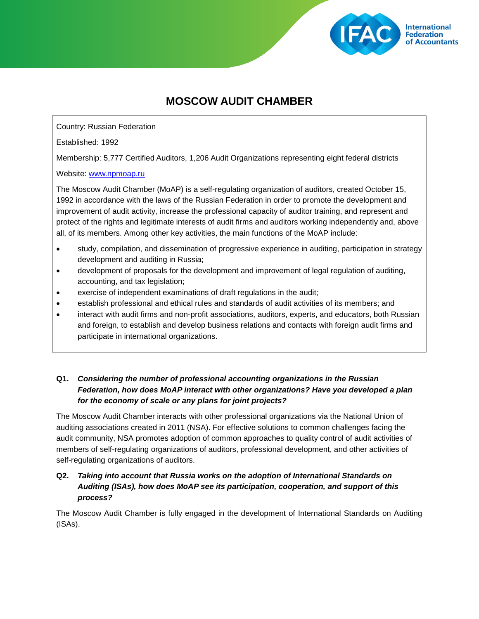

# **MOSCOW AUDIT CHAMBER**

Country: Russian Federation

Established: 1992

Membership: 5,777 Certified Auditors, 1,206 Audit Organizations representing eight federal districts

Website: [www.npmoap.ru](http://www.npmoap.ru/)

The Moscow Audit Chamber (MoAP) is a self-regulating organization of auditors, created October 15, 1992 in accordance with the laws of the Russian Federation in order to promote the development and improvement of audit activity, increase the professional capacity of auditor training, and represent and protect of the rights and legitimate interests of audit firms and auditors working independently and, above all, of its members. Among other key activities, the main functions of the MoAP include:

- study, compilation, and dissemination of progressive experience in auditing, participation in strategy development and auditing in Russia;
- development of proposals for the development and improvement of legal regulation of auditing, accounting, and tax legislation;
- exercise of independent examinations of draft regulations in the audit;
- establish professional and ethical rules and standards of audit activities of its members; and
- interact with audit firms and non-profit associations, auditors, experts, and educators, both Russian and foreign, to establish and develop business relations and contacts with foreign audit firms and participate in international organizations.

## **Q1.** *Considering the number of professional accounting organizations in the Russian Federation, how does MoAP interact with other organizations? Have you developed a plan for the economy of scale or any plans for joint projects?*

The Moscow Audit Chamber interacts with other professional organizations via the National Union of auditing associations created in 2011 (NSA). For effective solutions to common challenges facing the audit community, NSA promotes adoption of common approaches to quality control of audit activities of members of self-regulating organizations of auditors, professional development, and other activities of self-regulating organizations of auditors.

## **Q2.** *Taking into account that Russia works on the adoption of International Standards on Auditing (ISAs), how does MoAP see its participation, cooperation, and support of this process?*

The Moscow Audit Chamber is fully engaged in the development of International Standards on Auditing (ISAs).